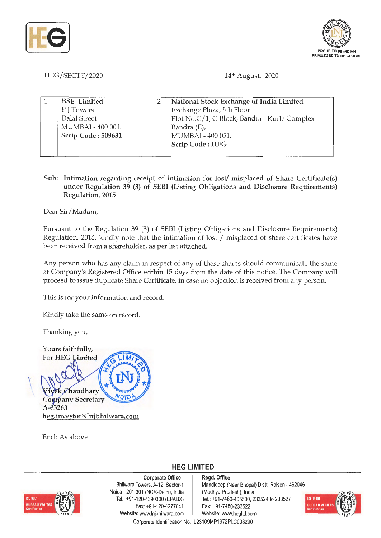



HEG/SECTT/2020

14th August, 2020

| <b>BSE</b> Limited | National Stock Exchange of India Limited     |
|--------------------|----------------------------------------------|
| PITowers           | Exchange Plaza, 5th Floor                    |
| Dalal Street       | Plot No.C/1, G Block, Bandra - Kurla Complex |
| MUMBAI - 400 001.  | Bandra $(E)$ ,                               |
| Scrip Code: 509631 | MUMBAI - 400 051.                            |
|                    | Scrip Code: HEG                              |
|                    |                                              |

## **Sub: Intimation regarding receipt of intimation for lost/ misplaced of Share Certificate(s) under Regulation 39 (3) of SEBI (Listing Obligations and Disclosure Requirements) Regulation, 2015**

Dear Sir/ Madam,

Pursuant to the Regulation 39 (3) of SEBI (Listing Obligations and Disclosure Requirements) Regulation, 2015, kindly note that the intimation of lost / misplaced of share certificates have been received from a shareholder, as per list attached.

Any person who has any claim in respect of any of these shares should communicate the same at Company's Registered Office within 15 days from the date of this notice. The Company will proceed to issue duplicate Share Certificate, in case no objection is received from any person.

This is for your information and record.

Kindly take the same on record.

Thanking you,



Encl: As above

**HEG LIMITED** 



**Corporate Office** : Bhilwara Towers, A-12, Sector-1 Noida - 201 301 (NCR-Delhi), India Tel.: +91-120-4390300 (EPABX) Fax: +91-120-4277841 Website: www.lnjbhilwara.com | Website: www.hegltd.com

**Regd. Office** : Mandideep (Near Bhopal) Distt. Raisen - 462046 (Madhya Pradesh), India Tel.: +91-7480-405500, 233524 to 233527 Fax: +91-7480-233522



Corporate Identification No.: L23109MP1972PLC008290